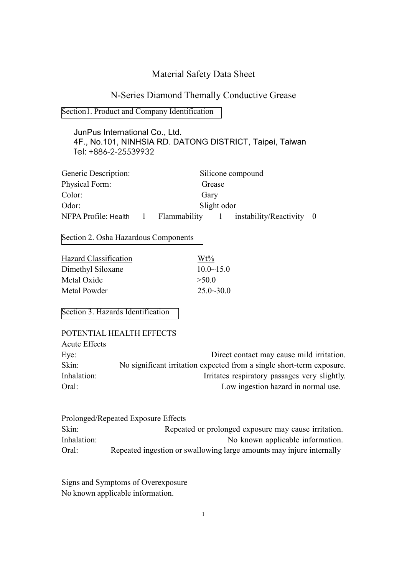# Material Safety Data Sheet

# N-Series Diamond Themally Conductive Grease

### Section1. Product and Company Identification

## JunPus International Co., Ltd. 4F., No.101, NINHSIA RD. DATONG DISTRICT, Taipei, Taiwan Tel: +886-2-25539932

| Generic Description: |              |              |         | Silicone compound        |  |
|----------------------|--------------|--------------|---------|--------------------------|--|
| Physical Form:       |              |              | Grease  |                          |  |
| Color:               |              | Gary         |         |                          |  |
| Odor:                |              | Slight odor  |         |                          |  |
| NFPA Profile: Health | $\mathbf{L}$ | Flammability | $\pm 1$ | instability/Reactivity 0 |  |

Section 2. Osha Hazardous Components

| $Wt\%$           |
|------------------|
| $10.0 \sim 15.0$ |
| >500             |
| $25.0 - 30.0$    |
|                  |

Section 3. Hazards Identification

|                      | POTENTIAL HEALTH EFFECTS                                              |
|----------------------|-----------------------------------------------------------------------|
| <b>Acute Effects</b> |                                                                       |
| Eye:                 | Direct contact may cause mild irritation.                             |
| Skin:                | No significant irritation expected from a single short-term exposure. |
| Inhalation:          | Irritates respiratory passages very slightly.                         |
| Oral:                | Low ingestion hazard in normal use.                                   |

|             | Prolonged/Repeated Exposure Effects                                  |
|-------------|----------------------------------------------------------------------|
| Skin:       | Repeated or prolonged exposure may cause irritation.                 |
| Inhalation: | No known applicable information.                                     |
| Oral:       | Repeated ingestion or swallowing large amounts may injure internally |

Signs and Symptoms of Overexposure No known applicable information.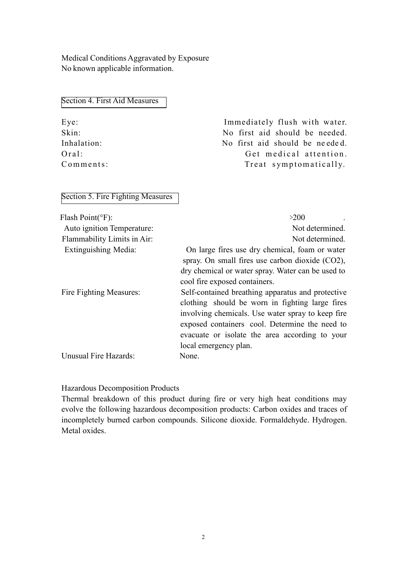Medical Conditions Aggravated by Exposure No known applicable information.

| Section 4. First Aid Measures |
|-------------------------------|
|-------------------------------|

| $Eye$ :     |
|-------------|
| Skin:       |
| Inhalation: |
| Oral:       |
| Comments:   |

Immediately flush with water. No first aid should be needed. No first aid should be needed. Get medical attention. Treat symptomatically.

## Section 5. Fire Fighting Measures

| Flash $Point({}^\circ F)$ : | >200                                               |
|-----------------------------|----------------------------------------------------|
| Auto ignition Temperature:  | Not determined.                                    |
| Flammability Limits in Air: | Not determined.                                    |
| Extinguishing Media:        | On large fires use dry chemical, foam or water     |
|                             | spray. On small fires use carbon dioxide $(CO2)$ , |
|                             | dry chemical or water spray. Water can be used to  |
|                             | cool fire exposed containers.                      |
| Fire Fighting Measures:     | Self-contained breathing apparatus and protective  |
|                             | clothing should be worn in fighting large fires    |
|                             | involving chemicals. Use water spray to keep fire. |
|                             | exposed containers cool. Determine the need to     |
|                             | evacuate or isolate the area according to your     |
|                             | local emergency plan.                              |
| Unusual Fire Hazards:       | None.                                              |

## Hazardous Decomposition Products

Thermal breakdown of this product during fire or very high heat conditions may evolve the following hazardous decomposition products: Carbon oxides and traces of incompletely burned carbon compounds. Silicone dioxide. Formaldehyde. Hydrogen. Metal oxides.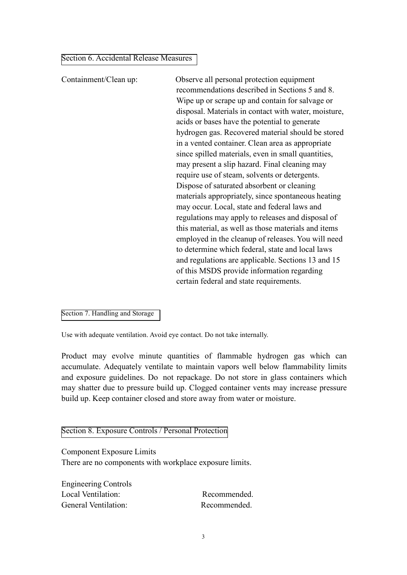Section 6. Accidental Release Measures

Containment/Clean up: Observe all personal protection equipment recommendations described in Sections 5 and 8. Wipe up or scrape up and contain for salvage or disposal. Materials in contact with water, moisture, acids or bases have the potential to generate hydrogen gas. Recovered material should be stored in a vented container. Clean area as appropriate since spilled materials, even in small quantities, may present a slip hazard. Final cleaning may require use of steam, solvents or detergents. Dispose of saturated absorbent or cleaning materials appropriately, since spontaneous heating may occur. Local, state and federal laws and regulations may apply to releases and disposal of this material, as well as those materials and items employed in the cleanup of releases. You will need to determine which federal, state and local laws and regulations are applicable. Sections 13 and 15 of this MSDS provide information regarding certain federal and state requirements.

Section 7. Handling and Storage

Use with adequate ventilation. Avoid eye contact. Do not take internally.

Product may evolve minute quantities of flammable hydrogen gas which can accumulate. Adequately ventilate to maintain vapors well below flammability limits and exposure guidelines. Do not repackage. Do not store in glass containers which may shatter due to pressure build up. Clogged container vents may increase pressure build up. Keep container closed and store away from water or moisture.

Section 8. Exposure Controls / Personal Protection

Component Exposure Limits There are no components with workplace exposure limits.

Engineering Controls Local Ventilation: Recommended. General Ventilation: Recommended.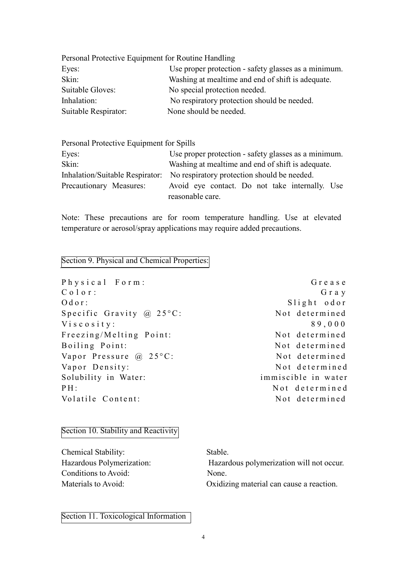| Personal Protective Equipment for Routine Handling   |
|------------------------------------------------------|
| Use proper protection - safety glasses as a minimum. |
| Washing at meal time and end of shift is adequate.   |
| No special protection needed.                        |
| No respiratory protection should be needed.          |
| None should be needed.                               |
|                                                      |

Personal Protective Equipment for Spills

| Eyes:                   | Use proper protection - safety glasses as a minimum.                        |  |  |  |  |
|-------------------------|-----------------------------------------------------------------------------|--|--|--|--|
| Skin:                   | Washing at meal time and end of shift is adequate.                          |  |  |  |  |
|                         | Inhalation/Suitable Respirator: No respiratory protection should be needed. |  |  |  |  |
| Precautionary Measures: | Avoid eye contact. Do not take internally. Use                              |  |  |  |  |
|                         | reasonable care.                                                            |  |  |  |  |

Note: These precautions are for room temperature handling. Use at elevated temperature or aerosol/spray applications may require added precautions.

### Section 9. Physical and Chemical Properties:

Physical Form: Grease C o l o r : G r a y Odor: Slight odor Specific Gravity  $\omega$  25°C: Not determined V i s c o s i t y :  $89,000$ Freezing/Melting Point: Not determined Boiling Point: Not determined Vapor Pressure  $\omega$  25°C: Not determined Vapor Density: Not determined Solubility in Water: immiscible in water PH: Not determined Volatile Content: Not determined

#### Section 10. Stability and Reactivity

Chemical Stability: Stable. Conditions to Avoid: None.

Hazardous Polymerization: Hazardous polymerization will not occur. Materials to Avoid: Oxidizing material can cause a reaction.

Section 11. Toxicological Information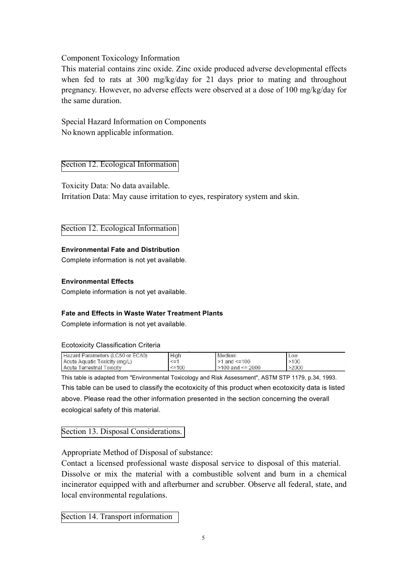## Component Toxicology Information

This material contains zinc oxide. Zinc oxide produced adverse developmental effects when fed to rats at 300 mg/kg/day for 21 days prior to mating and throughout pregnancy. However, no adverse effects were observed at a dose of 100 mg/kg/day for the same duration.

Special Hazard Information on Components No known applicable information.

Section 12. Ecological Information

Toxicity Data: No data available. Irritation Data: May cause irritation to eyes, respiratory system and skin.

Section 12. Ecological Information

## **Environmental Fate and Distribution**

Complete information is not yet available.

#### **Environmental Effects**

Complete information is not yet available.

## **Fate and Effects in Waste Water Treatment Plants**

Complete information is not yet available.

#### Ecotoxicity Classification Criteria

| Hazard Parameters (LC50 or EC50) | High   | Medium                 | LOW   |  |
|----------------------------------|--------|------------------------|-------|--|
| Acute Aquatic Toxicity (mg/L)    | $\leq$ | $>1$ and $\leq$ = 100  | >100  |  |
| Acute Terrestrial Toxicity       | $=100$ | $>100$ and $\leq 2000$ | >2000 |  |

This table is adapted from "Environmental Toxicology and Risk Assessment", ASTM STP 1179, p.34, 1993. This table can be used to classify the ecotoxicity of this product when ecotoxicity data is listed above. Please read the other information presented in the section concerning the overall ecological safety of this material.

## Section 13. Disposal Considerations.

Appropriate Method of Disposal of substance:

Contact a licensed professional waste disposal service to disposal of this material. Dissolve or mix the material with a combustible solvent and burn in a chemical incinerator equipped with and afterburner and scrubber. Observe all federal, state, and local environmental regulations.

Section 14. Transport information